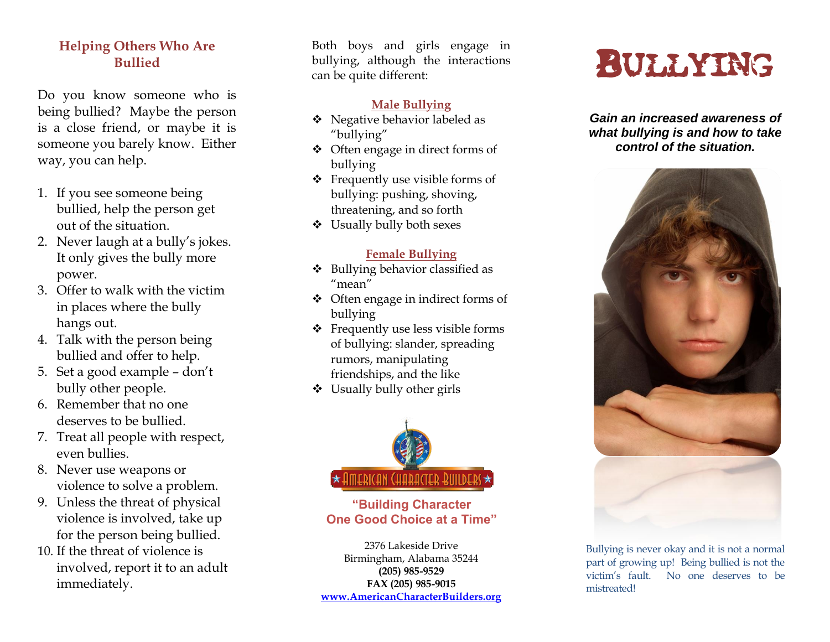#### **Helping Others Who Are Bullied**

Do you know someone who is being bullied? Maybe the person is a close friend, or maybe it is someone you barely know. Either way, you can help.

- 1. If you see someone being bullied, help the person get out of the situation.
- 2. Never laugh at a bully's jokes. It only gives the bully more power.
- 3. Offer to walk with the victim in places where the bully hangs out.
- 4. Talk with the person being bullied and offer to help.
- 5. Set a good example don't bully other people.
- 6. Remember that no one deserves to be bullied.
- 7. Treat all people with respect, even bullies.
- 8. Never use weapons or violence to solve a problem.
- 9. Unless the threat of physical violence is involved, take up for the person being bullied.
- 10. If the threat of violence is involved, report it to an adult immediately.

Both boys and girls engage in bullying, although the interactions can be quite different:

#### **Male Bullying**

- Negative behavior labeled as "bullying "
- $\triangleleft$  Often engage in direct forms of bullying
- Frequently use visible forms of bullying: pushing, shoving, threatening, and so forth
- Usually bully both sexes

### **Female Bullying**

- Bullying behavior classified as "mean "
- Often engage in indirect forms of bullying
- Frequently use less visible forms of bullying: slander, spreading rumors, manipulating friendships, and the like
- $\triangleleft$  Usually bully other girls



**"Building Character One Good Choice at a Time"**

2376 Lakeside Drive Birmingham, Alabama 35244 **(205) 985 - 9529 FAX (205) 985 -9015 [www.AmericanCharacterBuilders.org](http://www.americancharacterbuilders.org/)**

# BULLYING

*Gain an increased awareness of what bullying is and how to take control of the situation.*



Bullying is never okay and it is not a normal part of growing up! Being bullied is not the victim's fault. No one deserves to be mistreated!